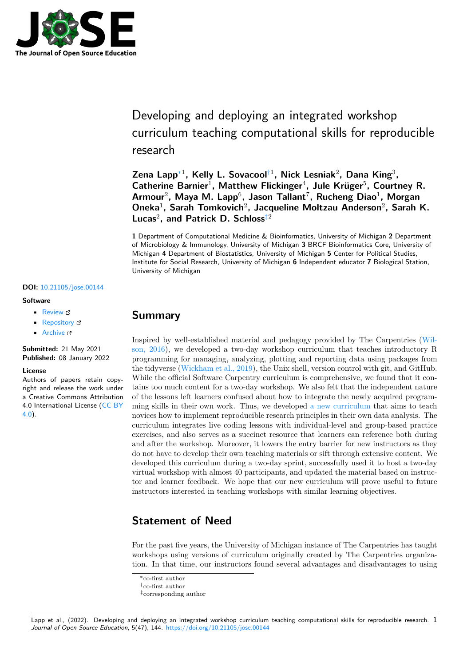

# Developing and deploying an integrated workshop curriculum teaching computational skills for reproducible research

**Zena Lapp**∗1 **, Kelly L. Sovacool**†1 **, Nick Lesniak**<sup>2</sup> **, Dana King**<sup>3</sup> **, Catherine Barnier**<sup>1</sup> **, Matthew Flickinger**<sup>4</sup> **, Jule Krüger**<sup>5</sup> **, Courtney R.** Armour<sup>2</sup>, Maya M. Lapp<sup>6</sup>, Jason Tallant<sup>7</sup>, Rucheng Diao<sup>1</sup>, Morgan **Oneka**<sup>1</sup> **, Sarah Tomkovich**<sup>2</sup> **, Jacqueline Moltzau Anderson**<sup>2</sup> **, Sarah K. Lucas**<sup>2</sup> **, and Patrick D. Schloss**‡2

**1** Department of Computational Medicine & Bioinformatics, University of Michigan **2** Department of Microbiology & Immunology, University of Michigan **3** BRCF Bioinformatics Core, University of Michigan **4** Department of Biostatistics, University of Michigan **5** Center for Political Studies, Institute for Social Research, University of Michigan **6** Independent educator **7** Biological Station, University of Michigan

#### **DOI:** 10.21105/jose.00144

### **Software**

- Review &
- [Repository](https://doi.org/10.21105/jose.00144) &
- Archive L<sup>2</sup>

**Subm[itted:](https://github.com/openjournals/jose-reviews/issues/144)** 21 May 2021 **Published:** [08 Ja](https://github.com/UMCarpentries/intro-curriculum-r/)nuary 2022

#### **Licen[se](https://doi.org/10.5281/zenodo.5812479)**

Authors of papers retain copyright and release the work under a Creative Commons Attribution 4.0 International License (CC BY 4.0).

### **Summary**

Inspired by well-established material and pedagogy provided by The Carpentries (Wilson, 2016), we developed a two-day workshop curriculum that teaches introductory R programming for managing, analyzing, plotting and reporting data using packages from the tidyverse (Wickham et al., 2019), the Unix shell, version control with git, and GitHub. While the official Software Carpentry curriculum is comprehensive, we found that it [con](#page-6-0)[tains too m](#page-6-0)uch content for a two-day workshop. We also felt that the independent nature of the lessons left learners confused about how to integrate the newly acquired programming skills in [their own work. Thu](#page-6-1)s, we developed a new curriculum that aims to teach novices how to implement reproducible research principles in their own data analysis. The curriculum integrates live coding lessons with individual-level and group-based practice exercises, and also serves as a succinct resource that learners can reference both during and after the workshop. Moreover, it lowers the ent[ry barrier for new](https://umcarpentries.org/intro-curriculum-r/) instructors as they do not have to develop their own teaching materials or sift through extensive content. We developed this curriculum during a two-day sprint, successfully used it to host a two-day virtual workshop with almost 40 participants, and updated the material based on instructor and learner feedback. We hope that our new curriculum will prove useful to future instructors interested in teaching workshops with similar learning objectives.

### **Statement of Need**

For the past five years, the University of Michigan instance of The Carpentries has taught workshops using versions of curriculum originally created by The Carpentries organization. In that time, our instructors found several advantages and disadvantages to using

Lapp et al., (2022). Developing and deploying an integrated workshop curriculum teaching computational skills for reproducible research. 1 *Journal of Open Source Education*, 5(47), 144. https://doi.org/10.21105/jose.00144

<sup>∗</sup>co-first author †co-first author

<sup>‡</sup>corresponding author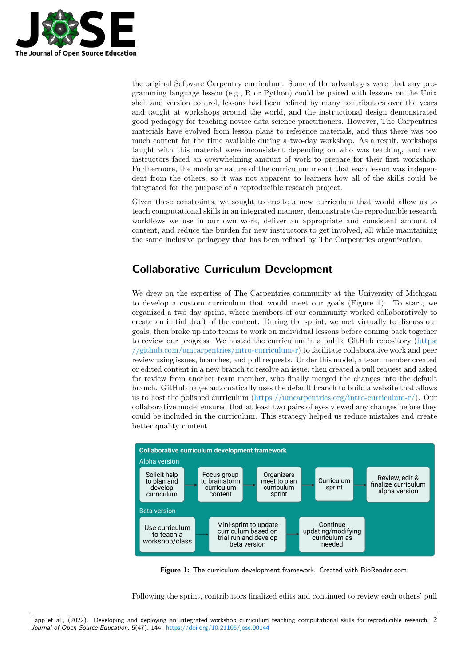

the original Software Carpentry curriculum. Some of the advantages were that any programming language lesson (e.g., R or Python) could be paired with lessons on the Unix shell and version control, lessons had been refined by many contributors over the years and taught at workshops around the world, and the instructional design demonstrated good pedagogy for teaching novice data science practitioners. However, The Carpentries materials have evolved from lesson plans to reference materials, and thus there was too much content for the time available during a two-day workshop. As a result, workshops taught with this material were inconsistent depending on who was teaching, and new instructors faced an overwhelming amount of work to prepare for their first workshop. Furthermore, the modular nature of the curriculum meant that each lesson was independent from the others, so it was not apparent to learners how all of the skills could be integrated for the purpose of a reproducible research project.

Given these constraints, we sought to create a new curriculum that would allow us to teach computational skills in an integrated manner, demonstrate the reproducible research workflows we use in our own work, deliver an appropriate and consistent amount of content, and reduce the burden for new instructors to get involved, all while maintaining the same inclusive pedagogy that has been refined by The Carpentries organization.

## **Collaborative Curriculum Development**

We drew on the expertise of The Carpentries community at the University of Michigan to develop a custom curriculum that would meet our goals (Figure 1). To start, we organized a two-day sprint, where members of our community worked collaboratively to create an initial draft of the content. During the sprint, we met virtually to discuss our goals, then broke up into teams to work on individual lessons before coming back together to review our progress. We hosted the curriculum in a public GitHub repository (https: //github.com/umcarpentries/intro-curriculum-r) to facilitate collaborative work and peer review using issues, branches, and pull requests. Under this model, a team member created or edited content in a new branch to resolve an issue, then created a pull request and asked for review from another team member, who finally merged the changes into the [default](https://github.com/umcarpentries/intro-curriculum-r) [branch. GitHub pages automatically uses the defa](https://github.com/umcarpentries/intro-curriculum-r)ult branch to build a website that allows us to host the polished curriculum (https://umcarpentries.org/intro-curriculum-r/). Our collaborative model ensured that at least two pairs of eyes viewed any changes before they could be included in the curriculum. This strategy helped us reduce mistakes and create better quality content.



**Figure 1:** The curriculum development framework. Created with BioRender.com.

Following the sprint, contributors finalized edits and continued to review each others' pull

Lapp et al., (2022). Developing and deploying an integrated workshop curriculum teaching computational skills for reproducible research. 2*Journal of Open Source Education*, 5(47), 144. https://doi.org/10.21105/jose.00144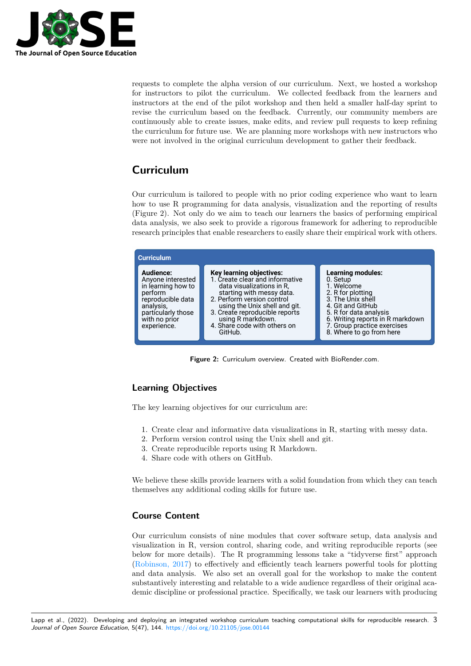

requests to complete the alpha version of our curriculum. Next, we hosted a workshop for instructors to pilot the curriculum. We collected feedback from the learners and instructors at the end of the pilot workshop and then held a smaller half-day sprint to revise the curriculum based on the feedback. Currently, our community members are continuously able to create issues, make edits, and review pull requests to keep refining the curriculum for future use. We are planning more workshops with new instructors who were not involved in the original curriculum development to gather their feedback.

## **Curriculum**

Our curriculum is tailored to people with no prior coding experience who want to learn how to use R programming for data analysis, visualization and the reporting of results (Figure 2). Not only do we aim to teach our learners the basics of performing empirical data analysis, we also seek to provide a rigorous framework for adhering to reproducible research principles that enable researchers to easily share their empirical work with others.



**Figure 2:** Curriculum overview. Created with BioRender.com.

### **Learning Objectives**

The key learning objectives for our curriculum are:

- 1. Create clear and informative data visualizations in R, starting with messy data.
- 2. Perform version control using the Unix shell and git.
- 3. Create reproducible reports using R Markdown.
- 4. Share code with others on GitHub.

We believe these skills provide learners with a solid foundation from which they can teach themselves any additional coding skills for future use.

### **Course Content**

Our curriculum consists of nine modules that cover software setup, data analysis and visualization in R, version control, sharing code, and writing reproducible reports (see below for more details). The R programming lessons take a "tidyverse first" approach (Robinson, 2017) to effectively and efficiently teach learners powerful tools for plotting and data analysis. We also set an overall goal for the workshop to make the content substantively interesting and relatable to a wide audience regardless of their original academic discipline or professional practice. Specifically, we task our learners with producing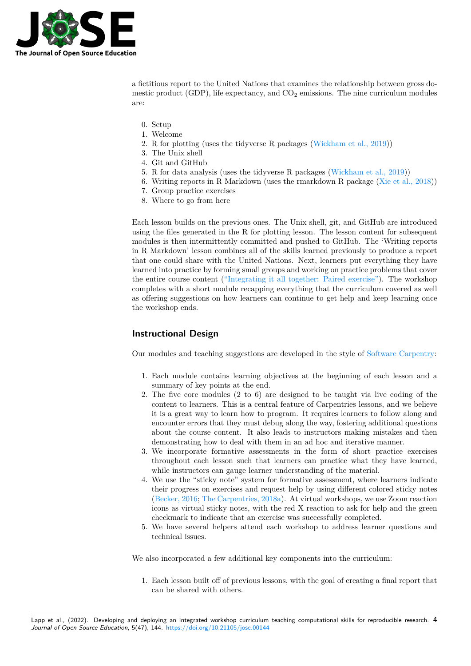

a fictitious report to the United Nations that examines the relationship between gross domestic product (GDP), life expectancy, and  $CO<sub>2</sub>$  emissions. The nine curriculum modules are:

- 0. Setup
- 1. Welcome
- 2. R for plotting (uses the tidyverse R packages (Wickham et al., 2019))
- 3. The Unix shell
- 4. Git and GitHub
- 5. R for data analysis (uses the tidyverse R packages (Wickham et al., 2019))
- 6. Writing reports in R Markdown (uses the rma[rkdown R package \(Xi](#page-6-1)e et al., 2018))
- 7. Group practice exercises
- 8. Where to go from here

Each lesson builds on the previous ones. The Unix shell, git, and GitH[ub are introduce](#page-6-2)d using the files generated in the R for plotting lesson. The lesson content for subsequent modules is then intermittently committed and pushed to GitHub. The 'Writing reports in R Markdown' lesson combines all of the skills learned previously to produce a report that one could share with the United Nations. Next, learners put everything they have learned into practice by forming small groups and working on practice problems that cover the entire course content ("Integrating it all together: Paired exercise"). The workshop completes with a short module recapping everything that the curriculum covered as well as offering suggestions on how learners can continue to get help and keep learning once the workshop ends.

### **Instructional Design**

Our modules and teaching suggestions are developed in the style of Software Carpentry:

- 1. Each module contains learning objectives at the beginning of each lesson and a summary of key points at the end.
- 2. The five core modules (2 to 6) are designed to be taught v[ia live coding of the](https://software-carpentry.org/) content to learners. This is a central feature of Carpentries lessons, and we believe it is a great way to learn how to program. It requires learners to follow along and encounter errors that they must debug along the way, fostering additional questions about the course content. It also leads to instructors making mistakes and then demonstrating how to deal with them in an ad hoc and iterative manner.
- 3. We incorporate formative assessments in the form of short practice exercises throughout each lesson such that learners can practice what they have learned, while instructors can gauge learner understanding of the material.
- 4. We use the "sticky note" system for formative assessment, where learners indicate their progress on exercises and request help by using different colored sticky notes (Becker, 2016; The Carpentries, 2018a). At virtual workshops, we use Zoom reaction icons as virtual sticky notes, with the red X reaction to ask for help and the green checkmark to indicate that an exercise was successfully completed.
- 5. We have several helpers attend each workshop to address learner questions and t[echnical issue](#page-6-3)[s.](#page-6-4)

We also incorporated a few additional key components into the curriculum:

1. Each lesson built off of previous lessons, with the goal of creating a final report that can be shared with others.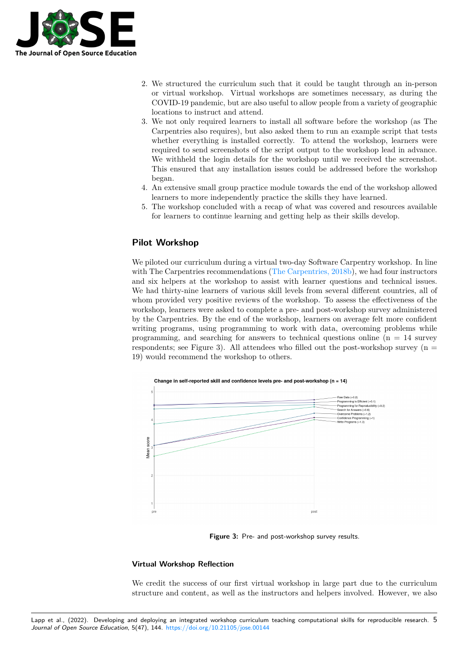

- 2. We structured the curriculum such that it could be taught through an in-person or virtual workshop. Virtual workshops are sometimes necessary, as during the COVID-19 pandemic, but are also useful to allow people from a variety of geographic locations to instruct and attend.
- 3. We not only required learners to install all software before the workshop (as The Carpentries also requires), but also asked them to run an example script that tests whether everything is installed correctly. To attend the workshop, learners were required to send screenshots of the script output to the workshop lead in advance. We withheld the login details for the workshop until we received the screenshot. This ensured that any installation issues could be addressed before the workshop began.
- 4. An extensive small group practice module towards the end of the workshop allowed learners to more independently practice the skills they have learned.
- 5. The workshop concluded with a recap of what was covered and resources available for learners to continue learning and getting help as their skills develop.

### **Pilot Workshop**

We piloted our curriculum during a virtual two-day Software Carpentry workshop. In line with The Carpentries recommendations (The Carpentries, 2018b), we had four instructors and six helpers at the workshop to assist with learner questions and technical issues. We had thirty-nine learners of various skill levels from several different countries, all of whom provided very positive reviews of the workshop. To assess the effectiveness of the workshop, learners were asked to comple[te a pre- and post-works](#page-6-5)hop survey administered by the Carpentries. By the end of the workshop, learners on average felt more confident writing programs, using programming to work with data, overcoming problems while programming, and searching for answers to technical questions online  $(n = 14$  survey respondents; see Figure 3). All attendees who filled out the post-workshop survey  $(n =$ 19) would recommend the workshop to others.



**Figure 3:** Pre- and post-workshop survey results.

### **Virtual Workshop Reflection**

We credit the success of our first virtual workshop in large part due to the curriculum structure and content, as well as the instructors and helpers involved. However, we also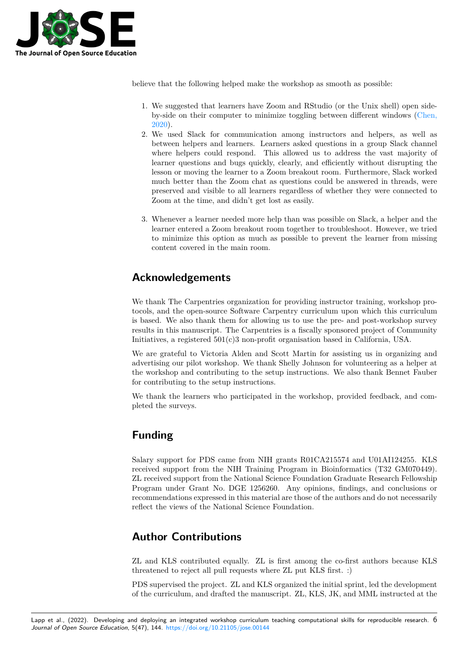

believe that the following helped make the workshop as smooth as possible:

- 1. We suggested that learners have Zoom and RStudio (or the Unix shell) open sideby-side on their computer to minimize toggling between different windows (Chen, 2020).
- 2. We used Slack for communication among instructors and helpers, as well as between helpers and learners. Learners asked questions in a group Slack channel where helpers could respond. This allowed us to address the vast majo[rity of](#page-6-6) [learn](#page-6-6)er questions and bugs quickly, clearly, and efficiently without disrupting the lesson or moving the learner to a Zoom breakout room. Furthermore, Slack worked much better than the Zoom chat as questions could be answered in threads, were preserved and visible to all learners regardless of whether they were connected to Zoom at the time, and didn't get lost as easily.
- 3. Whenever a learner needed more help than was possible on Slack, a helper and the learner entered a Zoom breakout room together to troubleshoot. However, we tried to minimize this option as much as possible to prevent the learner from missing content covered in the main room.

## **Acknowledgements**

We thank The Carpentries organization for providing instructor training, workshop protocols, and the open-source Software Carpentry curriculum upon which this curriculum is based. We also thank them for allowing us to use the pre- and post-workshop survey results in this manuscript. The Carpentries is a fiscally sponsored project of Community Initiatives, a registered 501(c)3 non-profit organisation based in California, USA.

We are grateful to Victoria Alden and Scott Martin for assisting us in organizing and advertising our pilot workshop. We thank Shelly Johnson for volunteering as a helper at the workshop and contributing to the setup instructions. We also thank Bennet Fauber for contributing to the setup instructions.

We thank the learners who participated in the workshop, provided feedback, and completed the surveys.

## **Funding**

Salary support for PDS came from NIH grants R01CA215574 and U01AI124255. KLS received support from the NIH Training Program in Bioinformatics (T32 GM070449). ZL received support from the National Science Foundation Graduate Research Fellowship Program under Grant No. DGE 1256260. Any opinions, findings, and conclusions or recommendations expressed in this material are those of the authors and do not necessarily reflect the views of the National Science Foundation.

## **Author Contributions**

ZL and KLS contributed equally. ZL is first among the co-first authors because KLS threatened to reject all pull requests where ZL put KLS first. :)

PDS supervised the project. ZL and KLS organized the initial sprint, led the development of the curriculum, and drafted the manuscript. ZL, KLS, JK, and MML instructed at the